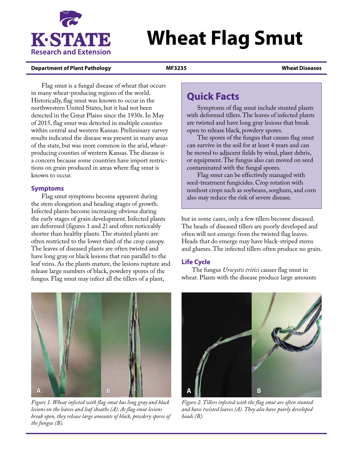

# **Wheat Flag Smut**

#### **Department of Plant Pathology MF3235 Wheat Diseases**

Flag smut is a fungal disease of wheat that occurs in many wheat-producing regions of the world. Historically, flag smut was known to occur in the northwestern United States, but it had not been detected in the Great Plains since the 1930s. In May of 2015, flag smut was detected in multiple counties within central and western Kansas. Preliminary survey results indicated the disease was present in many areas of the state, but was more common in the arid, wheatproducing counties of western Kansas. The disease is a concern because some countries have import restrictions on grain produced in areas where flag smut is known to occur.

## **Symptoms**

Flag smut symptoms become apparent during the stem elongation and heading stages of growth. Infected plants become increasing obvious during the early stages of grain development. Infected plants are deformed (figures 1 and 2) and often noticeably shorter than healthy plants. The stunted plants are often restricted to the lower third of the crop canopy. The leaves of diseased plants are often twisted and have long gray or black lesions that run parallel to the leaf veins. As the plants mature, the lesions rupture and release large numbers of black, powdery spores of the fungus. Flag smut may infect all the tillers of a plant,



Symptoms of flag smut include stunted plants with deformed tillers. The leaves of infected plants are twisted and have long gray lesions that break open to release black, powdery spores.

The spores of the fungus that causes flag smut can survive in the soil for at least 4 years and can be moved to adjacent fields by wind, plant debris, or equipment. The fungus also can moved on seed contaminated with the fungal spores.

Flag smut can be effectively managed with seed-treatment fungicides. Crop rotation with nonhost crops such as soybeans, sorghum, and corn also may reduce the risk of severe disease.

but in some cases, only a few tillers become diseased. The heads of diseased tillers are poorly developed and often will not emerge from the twisted flag leaves. Heads that do emerge may have black-striped stems and glumes. The infected tillers often produce no grain.

## **Life Cycle**

The fungus *Urocystis tritici* causes flag smut in wheat. Plants with the disease produce large amounts



*Figure 1. Wheat infected with flag smut has long gray and black lesions on the leaves and leaf sheaths (A). As flag smut lesions break open, they release large amounts of black, powdery spores of the fungus (B).* 



*Figure 2. Tillers infected with the flag smut are often stunted and have twisted leaves (A). They also have poorly developed heads (B).*